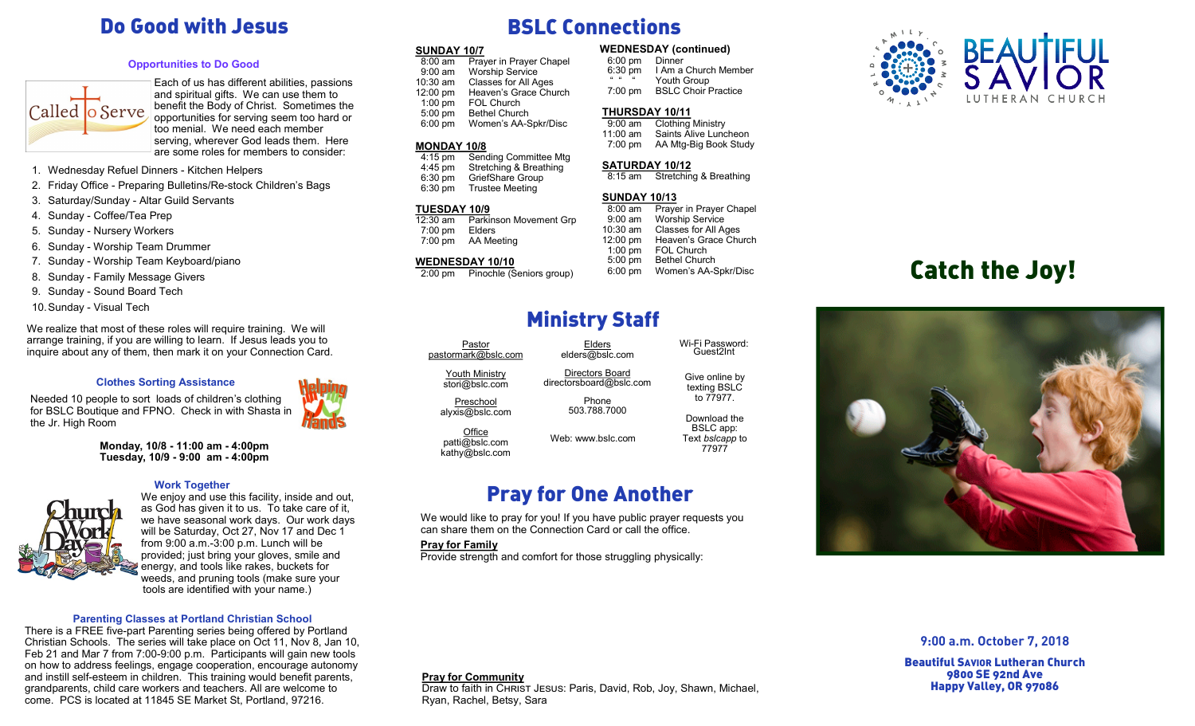# Do Good with Jesus

### **Opportunities to Do Good**



Each of us has different abilities, passions and spiritual gifts. We can use them to benefit the Body of Christ. Sometimes the opportunities for serving seem too hard or too menial. We need each member serving, wherever God leads them. Here are some roles for members to consider:

- 1. Wednesday Refuel Dinners Kitchen Helpers
- 2. Friday Office Preparing Bulletins/Re-stock Children's Bags
- 3. Saturday/Sunday Altar Guild Servants
- 4. Sunday Coffee/Tea Prep
- 5. Sunday Nursery Workers
- 6. Sunday Worship Team Drummer
- 7. Sunday Worship Team Keyboard/piano
- 8. Sunday Family Message Givers
- 9. Sunday Sound Board Tech
- 10.Sunday Visual Tech

We realize that most of these roles will require training. We will arrange training, if you are willing to learn. If Jesus leads you to inquire about any of them, then mark it on your Connection Card.

### **Clothes Sorting Assistance**

Needed 10 people to sort loads of children's clothing for BSLC Boutique and FPNO. Check in with Shasta in the Jr. High Room

> **Monday, 10/8 - 11:00 am - 4:00pm Tuesday, 10/9 - 9:00 am - 4:00pm**

### **Work Together**



We enjoy and use this facility, inside and out, as God has given it to us. To take care of it, we have seasonal work days. Our work days will be Saturday, Oct 27, Nov 17 and Dec 1 from 9:00 a.m.-3:00 p.m. Lunch will be provided; just bring your gloves, smile and energy, and tools like rakes, buckets for weeds, and pruning tools (make sure your tools are identified with your name.)

### **Parenting Classes at Portland Christian School**

There is a FREE five-part Parenting series being offered by Portland Christian Schools. The series will take place on Oct 11, Nov 8, Jan 10, Feb 21 and Mar 7 from 7:00-9:00 p.m. Participants will gain new tools on how to address feelings, engage cooperation, encourage autonomy and instill self-esteem in children. This training would benefit parents, grandparents, child care workers and teachers. All are welcome to come. PCS is located at 11845 SE Market St, Portland, 97216.

# BSLC Connections

**SUNDAY 10/7**<br>
8:00 am Prayer in Prayer Chapel 6:00 pm Dinner<br>
6:00 pm Dinner **Prayer in Prayer Chapel**  9:00 am Worship Service 10:30 am Classes for All Ages<br>12:00 pm Heaven's Grace Chu 12:00 pm Heaven's Grace Church<br>1:00 pm FOL Church 1:00 pm FOL Church<br>5:00 pm Bethel Churc Bethel Church 6:00 pm Women's AA-Spkr/Disc

### **MONDAY 10/8**

 4:15 pm Sending Committee Mtg 4:45 pm Stretching & Breathing<br>6:30 pm GriefShare Group 6:30 pm GriefShare Group Trustee Meeting

### **TUESDAY 10/9**

12:30 am Parkinson Movement Grp 7:00 pm Elders 7:00 pm AA Meeting

### **WEDNESDAY 10/10**

2:00 pm Pinochle (Seniors group)

6:00 pm<br>6:30 pm 1 Am a Church Member " " Youth Group<br>7:00 pm BSLC Choir F **BSLC Choir Practice** 

## **THURSDAY 10/11**<br>9:00 am Clothing

Clothing Ministry 11:00 am Saints Alive Luncheon<br>7:00 pm AA Mtg-Big Book Stud AA Mtg-Big Book Study

## **SATURDAY 10/12**<br>8:15 am Stretchin

Stretching & Breathing

### **SUNDAY 10/13**

 8:00 am Prayer in Prayer Chapel 9:00 am Worship Service 10:30 am Classes for All Ages 12:00 pm Heaven's Grace Church<br>1:00 pm FOL Church FOL Church 5:00 pm Bethel Church 6:00 pm Women's AA-Spkr/Disc

> Give online by texting BSLC to 77977. Download the BSLC app: Text *bslcapp* to 77977

Wi-Fi Password: Guest2Int

# Ministry Staff

Elders elders@bslc.com Directors Board directorsboard@bslc.com Phone 503.788.7000

Pastor pastormark@bslc.com

Youth Ministry

stori@bslc.com

Preschool alyxis@bslc.com

**Office** patti@bslc.com kathy@bslc.com Web: www.bslc.com

## Pray for One Another

We would like to pray for you! If you have public prayer requests you can share them on the Connection Card or call the office.

Draw to faith in CHRIST JESUS: Paris, David, Rob, Joy, Shawn, Michael,

### **Pray for Family**

**Pray for Community**

Ryan, Rachel, Betsy, Sara

Provide strength and comfort for those struggling physically:



# Catch the Joy!



**9:00 a.m. October 7, 2018**

Beautiful SAVIOR Lutheran Church 9800 SE 92nd Ave Happy Valley, OR 97086